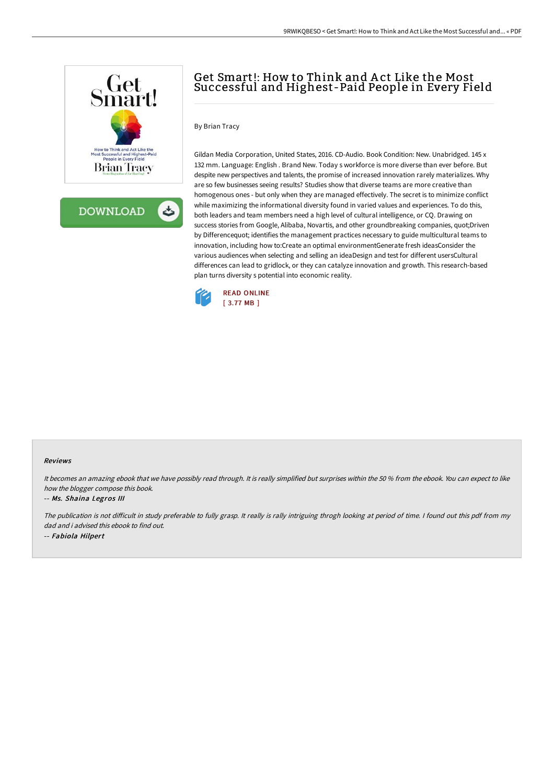

**DOWNLOAD** 

ٹ

# Get Smart!: How to Think and Act Like the Most Successful and Highest-Paid People in Every Field

### By Brian Tracy

Gildan Media Corporation, United States, 2016. CD-Audio. Book Condition: New. Unabridged. 145 x 132 mm. Language: English . Brand New. Today s workforce is more diverse than ever before. But despite new perspectives and talents, the promise of increased innovation rarely materializes. Why are so few businesses seeing results? Studies show that diverse teams are more creative than homogenous ones - but only when they are managed effectively. The secret is to minimize conflict while maximizing the informational diversity found in varied values and experiences. To do this, both leaders and team members need a high level of cultural intelligence, or CQ. Drawing on success stories from Google, Alibaba, Novartis, and other groundbreaking companies, quot;Driven by Differencequot; identifies the management practices necessary to guide multicultural teams to innovation, including how to:Create an optimal environmentGenerate fresh ideasConsider the various audiences when selecting and selling an ideaDesign and test for different usersCultural differences can lead to gridlock, or they can catalyze innovation and growth. This research-based plan turns diversity s potential into economic reality.



#### Reviews

It becomes an amazing ebook that we have possibly read through. It is really simplified but surprises within the 50 % from the ebook. You can expect to like how the blogger compose this book.

#### -- Ms. Shaina Legros III

The publication is not diFicult in study preferable to fully grasp. It really is rally intriguing throgh looking at period of time. <sup>I</sup> found out this pdf from my dad and i advised this ebook to find out. -- Fabiola Hilpert